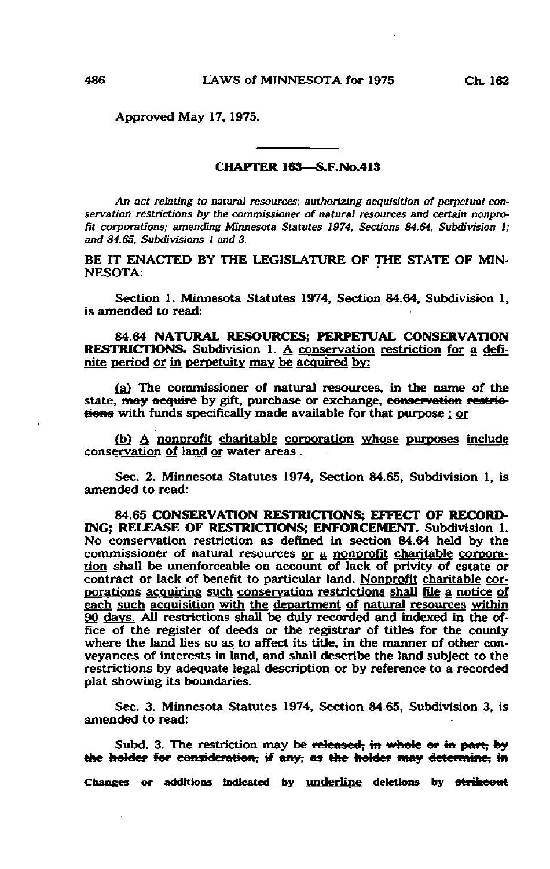Approved May 17, 1975.

## CHAPTER 163—S.F.No.413

An act relating to natural resources; authorizing acquisition of perpetual conservation restrictions by the commissioner of natural resources and certain nonprofit corporations: amending Minnesota Statutes 1974, Sections 84.64, Subdivision 1; and 84.65, Subdivisions 1 and 3.

BE IT ENACTED BY THE LEGISLATURE OF THE STATE OF MIN-NESOTA:

Section 1. Minnesota Statutes 1974, Section 84.64, Subdivision 1, is amended to read:

84.64 NATURAL RESOURCES; PERPETUAL CONSERVATION RESTRICTIONS. Subdivision 1. A conservation restriction for a definite period or in perpetuity may be acquired by:

(a) The commissioner of natural resources, in the name of the state, may acquire by gift, purchase or exchange, conservation restriotions with funds specifically made available for that purpose ; or

(b) A nonprofit charitable corporation whose purposes include conservation of land or water areas .

Sec. 2. Minnesota Statutes 1974, Section 84.65, Subdivision 1, is amended to read:

84.65 CONSERVATION RESTRICTIONS; EFFECT OF RECORD-ING; RELEASE OF RESTRICTIONS; ENFORCEMENT. Subdivision 1. No conservation restriction as defined in section 84.64 held by the commissioner of natural resources or a nonprofit charitable corporation shall be unenforceable on account of lack of privity of estate or contract or lack of benefit to particular land. Nonprofit charitable corporations acquiring such conservation restrictions shall file a notice of each such acquisition with the department of natural resources within 90 days. All restrictions shall be duly recorded and indexed in the office of the register of deeds or the registrar of titles for the county where the land lies so as to affect its title, in the manner of other conveyances of interests in land, and shall describe the land subject to the restrictions by adequate legal description or by reference to a recorded plat showing its boundaries.

Sec. 3. Minnesota Statutes 1974, Section 84.65, Subdivision 3, is amended to read:

Subd. 3. The restriction may be released, in whole or in part, by the holder for consideration, if any, as the holder may determine, in

Changes or additions indicated by underline deletions by strikeout